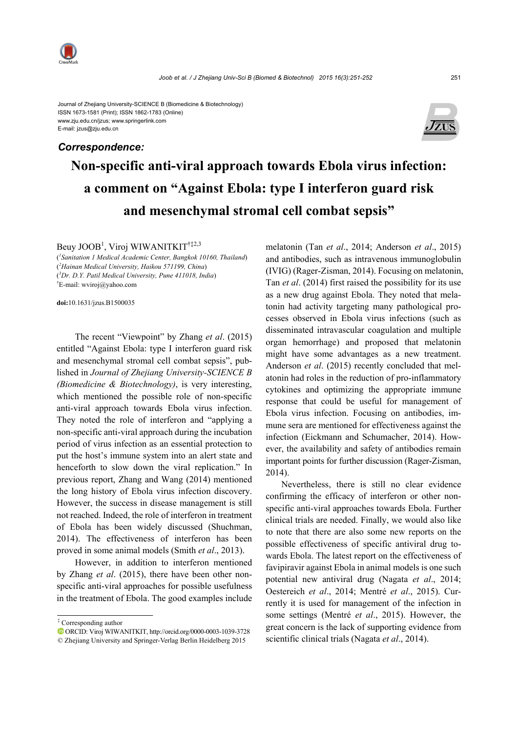

Journal of Zhejiang University-SCIENCE B (Biomedicine & Biotechnology) ISSN 1673-1581 (Print); ISSN 1862-1783 (Online) www.zju.edu.cn/jzus; www.springerlink.com E-mail: jzus@zju.edu.cn

## *Correspondence:*



## **Non-specific anti-viral approach towards Ebola virus infection: a comment on "Against Ebola: type I interferon guard risk and mesenchymal stromal cell combat sepsis"**

Beuy JOOB<sup>1</sup>, Viroj WIWANITKIT<sup>†‡2,3</sup>

( *1 Sanitation 1 Medical Academic Center, Bangkok 10160, Thailand*) ( *2 Hainan Medical University, Haikou 571199, China*) ( *3 Dr. D.Y. Patil Medical University, Pune 411018, India*) † E-mail: wviroj@yahoo.com

**doi:**10.1631/jzus.B1500035

The recent "Viewpoint" by Zhang *et al*. (2015) entitled "Against Ebola: type I interferon guard risk and mesenchymal stromal cell combat sepsis", published in *Journal of Zhejiang University-SCIENCE B (Biomedicine & Biotechnology)*, is very interesting, which mentioned the possible role of non-specific anti-viral approach towards Ebola virus infection. They noted the role of interferon and "applying a non-specific anti-viral approach during the incubation period of virus infection as an essential protection to put the host's immune system into an alert state and henceforth to slow down the viral replication." In previous report, Zhang and Wang (2014) mentioned the long history of Ebola virus infection discovery. However, the success in disease management is still not reached. Indeed, the role of interferon in treatment of Ebola has been widely discussed (Shuchman, 2014). The effectiveness of interferon has been proved in some animal models (Smith *et al*., 2013).

However, in addition to interferon mentioned by Zhang *et al*. (2015), there have been other nonspecific anti-viral approaches for possible usefulness in the treatment of Ebola. The good examples include melatonin (Tan *et al*., 2014; Anderson *et al*., 2015) and antibodies, such as intravenous immunoglobulin (IVIG) (Rager-Zisman, 2014). Focusing on melatonin, Tan *et al*. (2014) first raised the possibility for its use as a new drug against Ebola. They noted that melatonin had activity targeting many pathological processes observed in Ebola virus infections (such as disseminated intravascular coagulation and multiple organ hemorrhage) and proposed that melatonin might have some advantages as a new treatment. Anderson *et al*. (2015) recently concluded that melatonin had roles in the reduction of pro-inflammatory cytokines and optimizing the appropriate immune response that could be useful for management of Ebola virus infection. Focusing on antibodies, immune sera are mentioned for effectiveness against the infection (Eickmann and Schumacher, 2014). However, the availability and safety of antibodies remain important points for further discussion (Rager-Zisman, 2014).

Nevertheless, there is still no clear evidence confirming the efficacy of interferon or other nonspecific anti-viral approaches towards Ebola. Further clinical trials are needed. Finally, we would also like to note that there are also some new reports on the possible effectiveness of specific antiviral drug towards Ebola. The latest report on the effectiveness of favipiravir against Ebola in animal models is one such potential new antiviral drug (Nagata *et al*., 2014; Oestereich *et al*., 2014; Mentré *et al*., 2015). Currently it is used for management of the infection in some settings (Mentré *et al*., 2015). However, the great concern is the lack of supporting evidence from scientific clinical trials (Nagata *et al*., 2014).

<sup>‡</sup> Corresponding author

ORCID: Viroj WIWANITKIT, http://orcid.org/0000-0003-1039-3728

<sup>©</sup> Zhejiang University and Springer-Verlag Berlin Heidelberg 2015